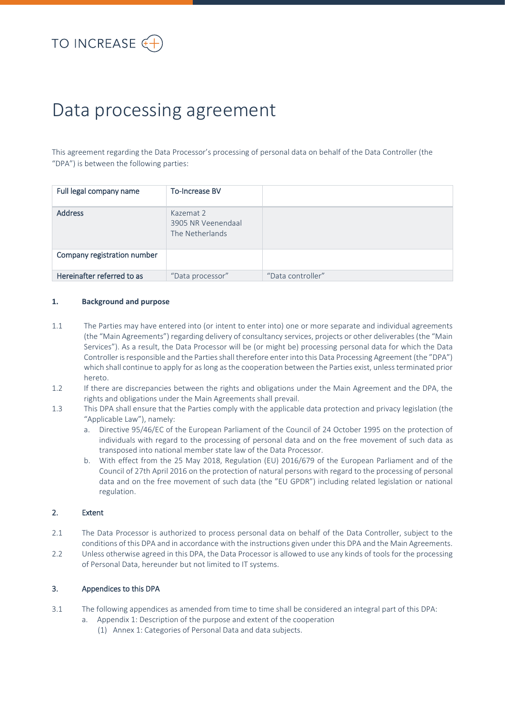# Data processing agreement

This agreement regarding the Data Processor's processing of personal data on behalf of the Data Controller (the "DPA") is between the following parties:

| Full legal company name     | <b>To-Increase BV</b>                              |                   |
|-----------------------------|----------------------------------------------------|-------------------|
| <b>Address</b>              | Kazemat 2<br>3905 NR Veenendaal<br>The Netherlands |                   |
| Company registration number |                                                    |                   |
| Hereinafter referred to as  | "Data processor"                                   | "Data controller" |

#### **1. Background and purpose**

- 1.1 The Parties may have entered into (or intent to enter into) one or more separate and individual agreements (the "Main Agreements") regarding delivery of consultancy services, projects or other deliverables (the "Main Services"). As a result, the Data Processor will be (or might be) processing personal data for which the Data Controller is responsible and the Parties shall therefore enter into this Data Processing Agreement (the "DPA") which shall continue to apply for as long as the cooperation between the Parties exist, unless terminated prior hereto.
- 1.2 If there are discrepancies between the rights and obligations under the Main Agreement and the DPA, the rights and obligations under the Main Agreements shall prevail.
- 1.3 This DPA shall ensure that the Parties comply with the applicable data protection and privacy legislation (the "Applicable Law"), namely:
	- a. Directive 95/46/EC of the European Parliament of the Council of 24 October 1995 on the protection of individuals with regard to the processing of personal data and on the free movement of such data as transposed into national member state law of the Data Processor.
	- b. With effect from the 25 May 2018, Regulation (EU) 2016/679 of the European Parliament and of the Council of 27th April 2016 on the protection of natural persons with regard to the processing of personal data and on the free movement of such data (the "EU GPDR") including related legislation or national regulation.

#### 2. Extent

- 2.1 The Data Processor is authorized to process personal data on behalf of the Data Controller, subject to the conditions of this DPA and in accordance with the instructions given under this DPA and the Main Agreements.
- 2.2 Unless otherwise agreed in this DPA, the Data Processor is allowed to use any kinds of tools for the processing of Personal Data, hereunder but not limited to IT systems.

# 3. Appendices to this DPA

- 3.1 The following appendices as amended from time to time shall be considered an integral part of this DPA:
	- a. Appendix 1: Description of the purpose and extent of the cooperation
		- (1) Annex 1: Categories of Personal Data and data subjects.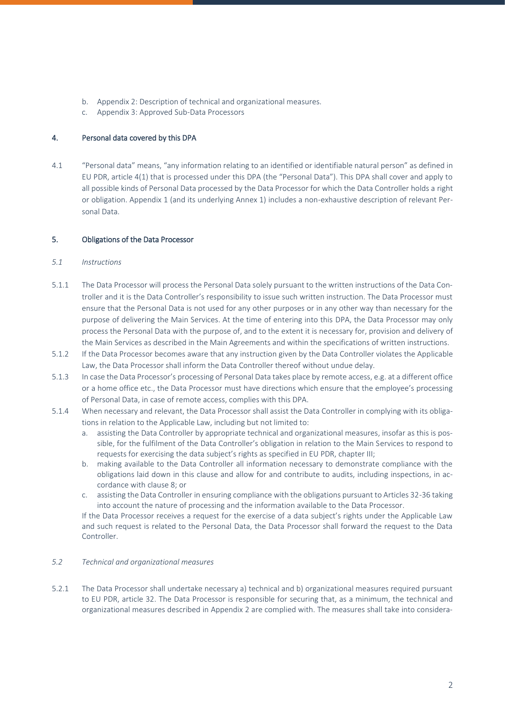- b. Appendix 2: Description of technical and organizational measures.
- c. Appendix 3: Approved Sub-Data Processors

# 4. Personal data covered by this DPA

4.1 "Personal data" means, "any information relating to an identified or identifiable natural person" as defined in EU PDR, article 4(1) that is processed under this DPA (the "Personal Data"). This DPA shall cover and apply to all possible kinds of Personal Data processed by the Data Processor for which the Data Controller holds a right or obligation. Appendix 1 (and its underlying Annex 1) includes a non-exhaustive description of relevant Personal Data.

# 5. Obligations of the Data Processor

#### *5.1 Instructions*

- 5.1.1 The Data Processor will process the Personal Data solely pursuant to the written instructions of the Data Controller and it is the Data Controller's responsibility to issue such written instruction. The Data Processor must ensure that the Personal Data is not used for any other purposes or in any other way than necessary for the purpose of delivering the Main Services. At the time of entering into this DPA, the Data Processor may only process the Personal Data with the purpose of, and to the extent it is necessary for, provision and delivery of the Main Services as described in the Main Agreements and within the specifications of written instructions.
- 5.1.2 If the Data Processor becomes aware that any instruction given by the Data Controller violates the Applicable Law, the Data Processor shall inform the Data Controller thereof without undue delay.
- 5.1.3 In case the Data Processor's processing of Personal Data takes place by remote access, e.g. at a different office or a home office etc., the Data Processor must have directions which ensure that the employee's processing of Personal Data, in case of remote access, complies with this DPA.
- 5.1.4 When necessary and relevant, the Data Processor shall assist the Data Controller in complying with its obligations in relation to the Applicable Law, including but not limited to:
	- a. assisting the Data Controller by appropriate technical and organizational measures, insofar as this is possible, for the fulfilment of the Data Controller's obligation in relation to the Main Services to respond to requests for exercising the data subject's rights as specified in EU PDR, chapter III;
	- b. making available to the Data Controller all information necessary to demonstrate compliance with the obligations laid down in this clause and allow for and contribute to audits, including inspections, in accordance with clause 8; or
	- c. assisting the Data Controller in ensuring compliance with the obligations pursuant to Articles 32-36 taking into account the nature of processing and the information available to the Data Processor.

If the Data Processor receives a request for the exercise of a data subject's rights under the Applicable Law and such request is related to the Personal Data, the Data Processor shall forward the request to the Data Controller.

#### *5.2 Technical and organizational measures*

5.2.1 The Data Processor shall undertake necessary a) technical and b) organizational measures required pursuant to EU PDR, article 32. The Data Processor is responsible for securing that, as a minimum, the technical and organizational measures described in Appendix 2 are complied with. The measures shall take into considera-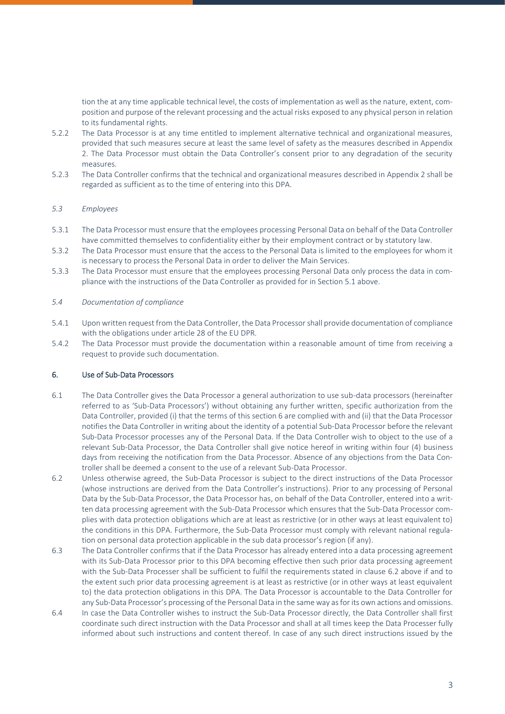tion the at any time applicable technical level, the costs of implementation as well as the nature, extent, composition and purpose of the relevant processing and the actual risks exposed to any physical person in relation to its fundamental rights.

- 5.2.2 The Data Processor is at any time entitled to implement alternative technical and organizational measures, provided that such measures secure at least the same level of safety as the measures described in Appendix 2. The Data Processor must obtain the Data Controller's consent prior to any degradation of the security measures.
- 5.2.3 The Data Controller confirms that the technical and organizational measures described in Appendix 2 shall be regarded as sufficient as to the time of entering into this DPA.

#### *5.3 Employees*

- 5.3.1 The Data Processor must ensure that the employees processing Personal Data on behalf of the Data Controller have committed themselves to confidentiality either by their employment contract or by statutory law.
- 5.3.2 The Data Processor must ensure that the access to the Personal Data is limited to the employees for whom it is necessary to process the Personal Data in order to deliver the Main Services.
- 5.3.3 The Data Processor must ensure that the employees processing Personal Data only process the data in compliance with the instructions of the Data Controller as provided for in Section 5.1 above.

#### *5.4 Documentation of compliance*

- 5.4.1 Upon written request from the Data Controller, the Data Processor shall provide documentation of compliance with the obligations under article 28 of the EU DPR.
- 5.4.2 The Data Processor must provide the documentation within a reasonable amount of time from receiving a request to provide such documentation.

#### 6. Use of Sub-Data Processors

- 6.1 The Data Controller gives the Data Processor a general authorization to use sub-data processors (hereinafter referred to as 'Sub-Data Processors') without obtaining any further written, specific authorization from the Data Controller, provided (i) that the terms of this section 6 are complied with and (ii) that the Data Processor notifies the Data Controller in writing about the identity of a potential Sub-Data Processor before the relevant Sub-Data Processor processes any of the Personal Data. If the Data Controller wish to object to the use of a relevant Sub-Data Processor, the Data Controller shall give notice hereof in writing within four (4) business days from receiving the notification from the Data Processor. Absence of any objections from the Data Controller shall be deemed a consent to the use of a relevant Sub-Data Processor.
- 6.2 Unless otherwise agreed, the Sub-Data Processor is subject to the direct instructions of the Data Processor (whose instructions are derived from the Data Controller's instructions). Prior to any processing of Personal Data by the Sub-Data Processor, the Data Processor has, on behalf of the Data Controller, entered into a written data processing agreement with the Sub-Data Processor which ensures that the Sub-Data Processor complies with data protection obligations which are at least as restrictive (or in other ways at least equivalent to) the conditions in this DPA. Furthermore, the Sub-Data Processor must comply with relevant national regulation on personal data protection applicable in the sub data processor's region (if any).
- 6.3 The Data Controller confirms that if the Data Processor has already entered into a data processing agreement with its Sub-Data Processor prior to this DPA becoming effective then such prior data processing agreement with the Sub-Data Processer shall be sufficient to fulfil the requirements stated in clause 6.2 above if and to the extent such prior data processing agreement is at least as restrictive (or in other ways at least equivalent to) the data protection obligations in this DPA. The Data Processor is accountable to the Data Controller for any Sub-Data Processor's processing of the Personal Data in the same way as for its own actions and omissions.
- 6.4 In case the Data Controller wishes to instruct the Sub-Data Processor directly, the Data Controller shall first coordinate such direct instruction with the Data Processor and shall at all times keep the Data Processer fully informed about such instructions and content thereof. In case of any such direct instructions issued by the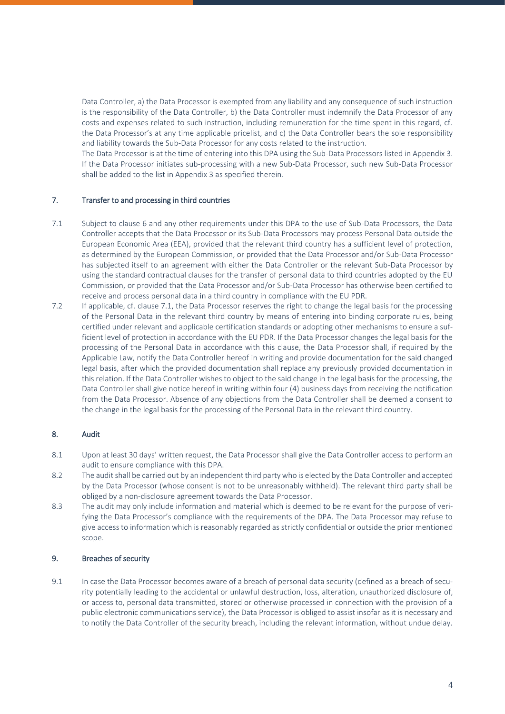Data Controller, a) the Data Processor is exempted from any liability and any consequence of such instruction is the responsibility of the Data Controller, b) the Data Controller must indemnify the Data Processor of any costs and expenses related to such instruction, including remuneration for the time spent in this regard, cf. the Data Processor's at any time applicable pricelist, and c) the Data Controller bears the sole responsibility and liability towards the Sub-Data Processor for any costs related to the instruction.

The Data Processor is at the time of entering into this DPA using the Sub-Data Processors listed in Appendix 3. If the Data Processor initiates sub-processing with a new Sub-Data Processor, such new Sub-Data Processor shall be added to the list in Appendix 3 as specified therein.

# 7. Transfer to and processing in third countries

- 7.1 Subject to clause 6 and any other requirements under this DPA to the use of Sub-Data Processors, the Data Controller accepts that the Data Processor or its Sub-Data Processors may process Personal Data outside the European Economic Area (EEA), provided that the relevant third country has a sufficient level of protection, as determined by the European Commission, or provided that the Data Processor and/or Sub-Data Processor has subjected itself to an agreement with either the Data Controller or the relevant Sub-Data Processor by using the standard contractual clauses for the transfer of personal data to third countries adopted by the EU Commission, or provided that the Data Processor and/or Sub-Data Processor has otherwise been certified to receive and process personal data in a third country in compliance with the EU PDR.
- 7.2 If applicable, cf. clause 7.1, the Data Processor reserves the right to change the legal basis for the processing of the Personal Data in the relevant third country by means of entering into binding corporate rules, being certified under relevant and applicable certification standards or adopting other mechanisms to ensure a sufficient level of protection in accordance with the EU PDR. If the Data Processor changes the legal basis for the processing of the Personal Data in accordance with this clause, the Data Processor shall, if required by the Applicable Law, notify the Data Controller hereof in writing and provide documentation for the said changed legal basis, after which the provided documentation shall replace any previously provided documentation in this relation. If the Data Controller wishes to object to the said change in the legal basis for the processing, the Data Controller shall give notice hereof in writing within four (4) business days from receiving the notification from the Data Processor. Absence of any objections from the Data Controller shall be deemed a consent to the change in the legal basis for the processing of the Personal Data in the relevant third country.

#### 8. Audit

- 8.1 Upon at least 30 days' written request, the Data Processor shall give the Data Controller access to perform an audit to ensure compliance with this DPA.
- 8.2 The audit shall be carried out by an independent third party who is elected by the Data Controller and accepted by the Data Processor (whose consent is not to be unreasonably withheld). The relevant third party shall be obliged by a non-disclosure agreement towards the Data Processor.
- 8.3 The audit may only include information and material which is deemed to be relevant for the purpose of verifying the Data Processor's compliance with the requirements of the DPA. The Data Processor may refuse to give access to information which is reasonably regarded as strictly confidential or outside the prior mentioned scope.

#### 9. Breaches of security

9.1 In case the Data Processor becomes aware of a breach of personal data security (defined as a breach of security potentially leading to the accidental or unlawful destruction, loss, alteration, unauthorized disclosure of, or access to, personal data transmitted, stored or otherwise processed in connection with the provision of a public electronic communications service), the Data Processor is obliged to assist insofar as it is necessary and to notify the Data Controller of the security breach, including the relevant information, without undue delay.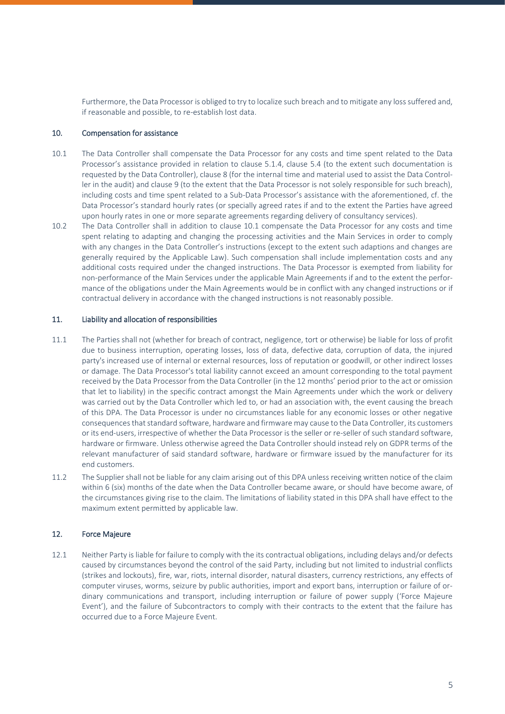Furthermore, the Data Processor is obliged to try to localize such breach and to mitigate any loss suffered and, if reasonable and possible, to re-establish lost data.

#### 10. Compensation for assistance

- 10.1 The Data Controller shall compensate the Data Processor for any costs and time spent related to the Data Processor's assistance provided in relation to clause 5.1.4, clause 5.4 (to the extent such documentation is requested by the Data Controller), clause 8 (for the internal time and material used to assist the Data Controller in the audit) and clause 9 (to the extent that the Data Processor is not solely responsible for such breach), including costs and time spent related to a Sub-Data Processor's assistance with the aforementioned, cf. the Data Processor's standard hourly rates (or specially agreed rates if and to the extent the Parties have agreed upon hourly rates in one or more separate agreements regarding delivery of consultancy services).
- 10.2 The Data Controller shall in addition to clause 10.1 compensate the Data Processor for any costs and time spent relating to adapting and changing the processing activities and the Main Services in order to comply with any changes in the Data Controller's instructions (except to the extent such adaptions and changes are generally required by the Applicable Law). Such compensation shall include implementation costs and any additional costs required under the changed instructions. The Data Processor is exempted from liability for non-performance of the Main Services under the applicable Main Agreements if and to the extent the performance of the obligations under the Main Agreements would be in conflict with any changed instructions or if contractual delivery in accordance with the changed instructions is not reasonably possible.

### 11. Liability and allocation of responsibilities

- 11.1 The Parties shall not (whether for breach of contract, negligence, tort or otherwise) be liable for loss of profit due to business interruption, operating losses, loss of data, defective data, corruption of data, the injured party's increased use of internal or external resources, loss of reputation or goodwill, or other indirect losses or damage. The Data Processor's total liability cannot exceed an amount corresponding to the total payment received by the Data Processor from the Data Controller (in the 12 months' period prior to the act or omission that let to liability) in the specific contract amongst the Main Agreements under which the work or delivery was carried out by the Data Controller which led to, or had an association with, the event causing the breach of this DPA. The Data Processor is under no circumstances liable for any economic losses or other negative consequences that standard software, hardware and firmware may cause to the Data Controller, its customers or its end-users, irrespective of whether the Data Processor is the seller or re-seller of such standard software, hardware or firmware. Unless otherwise agreed the Data Controller should instead rely on GDPR terms of the relevant manufacturer of said standard software, hardware or firmware issued by the manufacturer for its end customers.
- 11.2 The Supplier shall not be liable for any claim arising out of this DPA unless receiving written notice of the claim within 6 (six) months of the date when the Data Controller became aware, or should have become aware, of the circumstances giving rise to the claim. The limitations of liability stated in this DPA shall have effect to the maximum extent permitted by applicable law.

#### 12. Force Majeure

12.1 Neither Party is liable for failure to comply with the its contractual obligations, including delays and/or defects caused by circumstances beyond the control of the said Party, including but not limited to industrial conflicts (strikes and lockouts), fire, war, riots, internal disorder, natural disasters, currency restrictions, any effects of computer viruses, worms, seizure by public authorities, import and export bans, interruption or failure of ordinary communications and transport, including interruption or failure of power supply ('Force Majeure Event'), and the failure of Subcontractors to comply with their contracts to the extent that the failure has occurred due to a Force Majeure Event.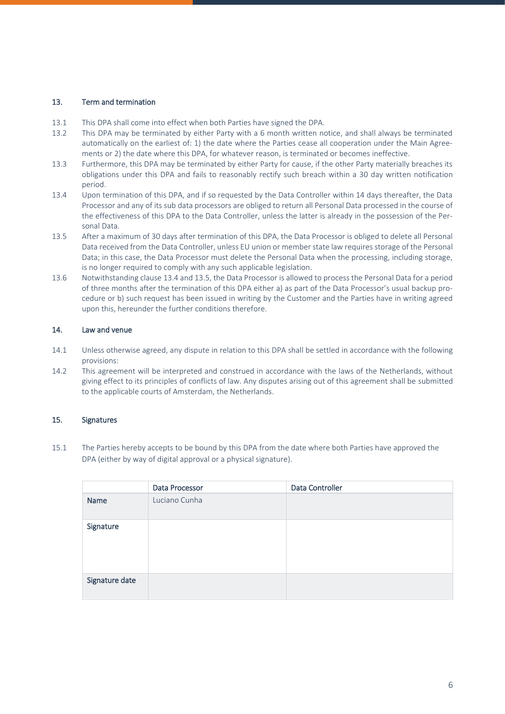# 13. Term and termination

- 13.1 This DPA shall come into effect when both Parties have signed the DPA.
- 13.2 This DPA may be terminated by either Party with a 6 month written notice, and shall always be terminated automatically on the earliest of: 1) the date where the Parties cease all cooperation under the Main Agreements or 2) the date where this DPA, for whatever reason, is terminated or becomes ineffective.
- 13.3 Furthermore, this DPA may be terminated by either Party for cause, if the other Party materially breaches its obligations under this DPA and fails to reasonably rectify such breach within a 30 day written notification period.
- 13.4 Upon termination of this DPA, and if so requested by the Data Controller within 14 days thereafter, the Data Processor and any of its sub data processors are obliged to return all Personal Data processed in the course of the effectiveness of this DPA to the Data Controller, unless the latter is already in the possession of the Personal Data.
- 13.5 After a maximum of 30 days after termination of this DPA, the Data Processor is obliged to delete all Personal Data received from the Data Controller, unless EU union or member state law requires storage of the Personal Data; in this case, the Data Processor must delete the Personal Data when the processing, including storage, is no longer required to comply with any such applicable legislation.
- 13.6 Notwithstanding clause 13.4 and 13.5, the Data Processor is allowed to process the Personal Data for a period of three months after the termination of this DPA either a) as part of the Data Processor's usual backup procedure or b) such request has been issued in writing by the Customer and the Parties have in writing agreed upon this, hereunder the further conditions therefore.

# 14. Law and venue

- 14.1 Unless otherwise agreed, any dispute in relation to this DPA shall be settled in accordance with the following provisions:
- 14.2 This agreement will be interpreted and construed in accordance with the laws of the Netherlands, without giving effect to its principles of conflicts of law. Any disputes arising out of this agreement shall be submitted to the applicable courts of Amsterdam, the Netherlands.

# 15. Signatures

15.1 The Parties hereby accepts to be bound by this DPA from the date where both Parties have approved the DPA (either by way of digital approval or a physical signature).

|                | Data Processor | Data Controller |
|----------------|----------------|-----------------|
| Name           | Luciano Cunha  |                 |
| Signature      |                |                 |
| Signature date |                |                 |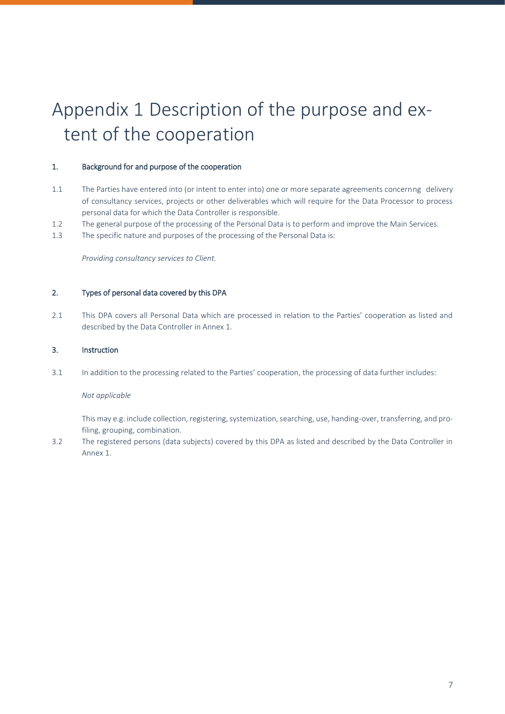# Appendix 1 Description of the purpose and extent of the cooperation

# 1. Background for and purpose of the cooperation

- 1.1 The Parties have entered into (or intent to enter into) one or more separate agreements concernng delivery of consultancy services, projects or other deliverables which will require for the Data Processor to process personal data for which the Data Controller is responsible.
- 1.2 The general purpose of the processing of the Personal Data is to perform and improve the Main Services.
- 1.3 The specific nature and purposes of the processing of the Personal Data is:

*Providing consultancy services to Client.* 

# 2. Types of personal data covered by this DPA

2.1 This DPA covers all Personal Data which are processed in relation to the Parties' cooperation as listed and described by the Data Controller in Annex 1.

# 3. Instruction

3.1 In addition to the processing related to the Parties' cooperation, the processing of data further includes:

#### *Not applicable*

This may e.g. include collection, registering, systemization, searching, use, handing-over, transferring, and profiling, grouping, combination.

3.2 The registered persons (data subjects) covered by this DPA as listed and described by the Data Controller in Annex 1.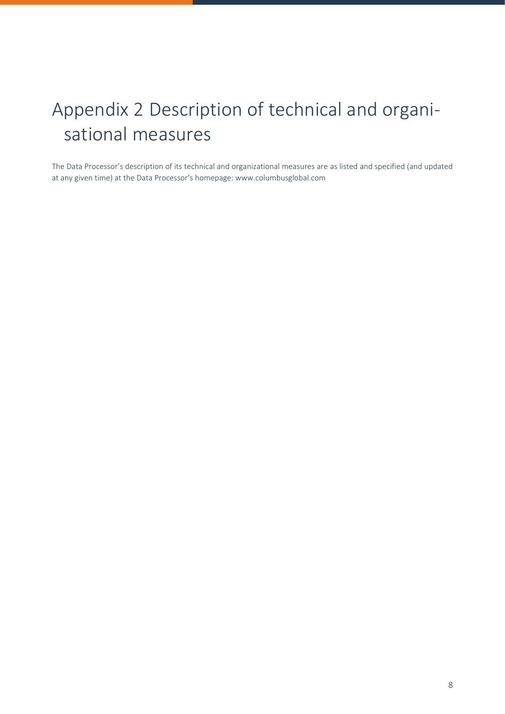# Appendix 2 Description of technical and organisational measures

The Data Processor's description of its technical and organizational measures are as listed and specified (and updated at any given time) at the Data Processor's homepage: www.columbusglobal.com